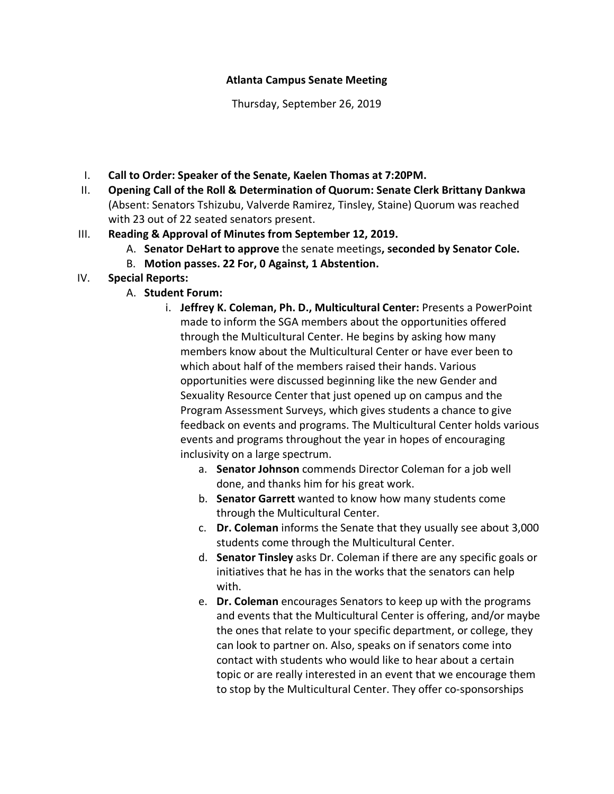## **Atlanta Campus Senate Meeting**

Thursday, September 26, 2019

- I. **Call to Order: Speaker of the Senate, Kaelen Thomas at 7:20PM.**
- II. **Opening Call of the Roll & Determination of Quorum: Senate Clerk Brittany Dankwa** (Absent: Senators Tshizubu, Valverde Ramirez, Tinsley, Staine) Quorum was reached with 23 out of 22 seated senators present.
- III. **Reading & Approval of Minutes from September 12, 2019.** 
	- A. **Senator DeHart to approve** the senate meetings**, seconded by Senator Cole.**
	- B. **Motion passes. 22 For, 0 Against, 1 Abstention.**
- IV. **Special Reports:**
	- A. **Student Forum:** 
		- i. **Jeffrey K. Coleman, Ph. D., Multicultural Center:** Presents a PowerPoint made to inform the SGA members about the opportunities offered through the Multicultural Center. He begins by asking how many members know about the Multicultural Center or have ever been to which about half of the members raised their hands. Various opportunities were discussed beginning like the new Gender and Sexuality Resource Center that just opened up on campus and the Program Assessment Surveys, which gives students a chance to give feedback on events and programs. The Multicultural Center holds various events and programs throughout the year in hopes of encouraging inclusivity on a large spectrum.
			- a. **Senator Johnson** commends Director Coleman for a job well done, and thanks him for his great work.
			- b. **Senator Garrett** wanted to know how many students come through the Multicultural Center.
			- c. **Dr. Coleman** informs the Senate that they usually see about 3,000 students come through the Multicultural Center.
			- d. **Senator Tinsley** asks Dr. Coleman if there are any specific goals or initiatives that he has in the works that the senators can help with.
			- e. **Dr. Coleman** encourages Senators to keep up with the programs and events that the Multicultural Center is offering, and/or maybe the ones that relate to your specific department, or college, they can look to partner on. Also, speaks on if senators come into contact with students who would like to hear about a certain topic or are really interested in an event that we encourage them to stop by the Multicultural Center. They offer co-sponsorships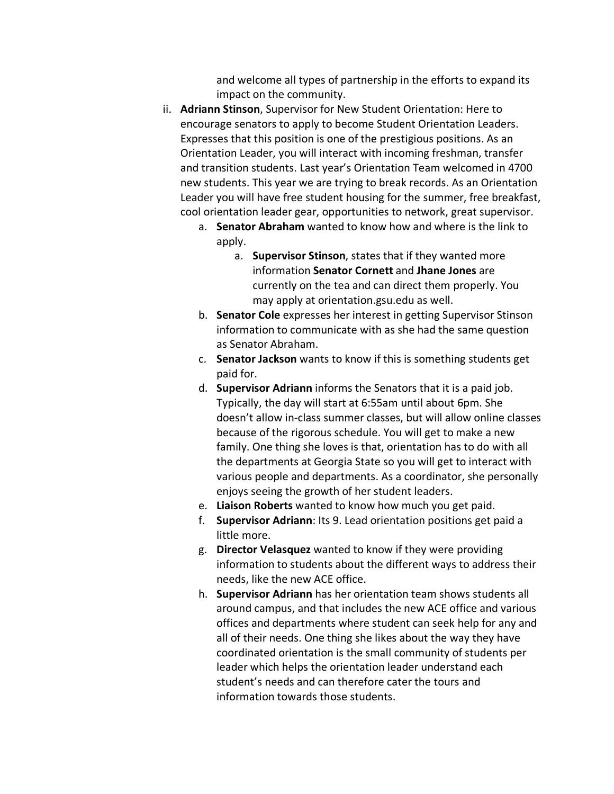and welcome all types of partnership in the efforts to expand its impact on the community.

- ii. **Adriann Stinson**, Supervisor for New Student Orientation: Here to encourage senators to apply to become Student Orientation Leaders. Expresses that this position is one of the prestigious positions. As an Orientation Leader, you will interact with incoming freshman, transfer and transition students. Last year's Orientation Team welcomed in 4700 new students. This year we are trying to break records. As an Orientation Leader you will have free student housing for the summer, free breakfast, cool orientation leader gear, opportunities to network, great supervisor.
	- a. **Senator Abraham** wanted to know how and where is the link to apply.
		- a. **Supervisor Stinson**, states that if they wanted more information **Senator Cornett** and **Jhane Jones** are currently on the tea and can direct them properly. You may apply at orientation.gsu.edu as well.
	- b. **Senator Cole** expresses her interest in getting Supervisor Stinson information to communicate with as she had the same question as Senator Abraham.
	- c. **Senator Jackson** wants to know if this is something students get paid for.
	- d. **Supervisor Adriann** informs the Senators that it is a paid job. Typically, the day will start at 6:55am until about 6pm. She doesn't allow in-class summer classes, but will allow online classes because of the rigorous schedule. You will get to make a new family. One thing she loves is that, orientation has to do with all the departments at Georgia State so you will get to interact with various people and departments. As a coordinator, she personally enjoys seeing the growth of her student leaders.
	- e. **Liaison Roberts** wanted to know how much you get paid.
	- f. **Supervisor Adriann**: Its 9. Lead orientation positions get paid a little more.
	- g. **Director Velasquez** wanted to know if they were providing information to students about the different ways to address their needs, like the new ACE office.
	- h. **Supervisor Adriann** has her orientation team shows students all around campus, and that includes the new ACE office and various offices and departments where student can seek help for any and all of their needs. One thing she likes about the way they have coordinated orientation is the small community of students per leader which helps the orientation leader understand each student's needs and can therefore cater the tours and information towards those students.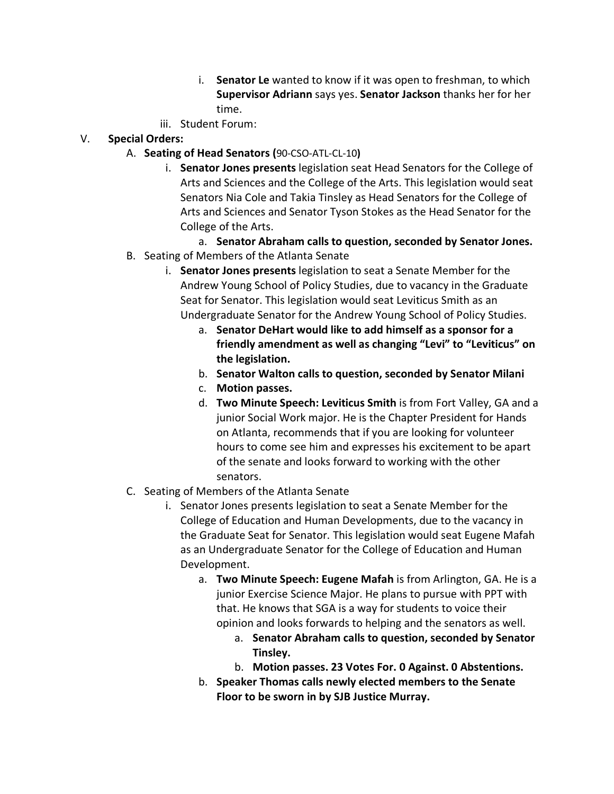- i. **Senator Le** wanted to know if it was open to freshman, to which **Supervisor Adriann** says yes. **Senator Jackson** thanks her for her time.
- iii. Student Forum:
- V. **Special Orders:**
	- A. **Seating of Head Senators (**90-CSO-ATL-CL-10**)**
		- i. **Senator Jones presents** legislation seat Head Senators for the College of Arts and Sciences and the College of the Arts. This legislation would seat Senators Nia Cole and Takia Tinsley as Head Senators for the College of Arts and Sciences and Senator Tyson Stokes as the Head Senator for the College of the Arts.
	- a. **Senator Abraham calls to question, seconded by Senator Jones.** B. Seating of Members of the Atlanta Senate
		- i. **Senator Jones presents** legislation to seat a Senate Member for the Andrew Young School of Policy Studies, due to vacancy in the Graduate Seat for Senator. This legislation would seat Leviticus Smith as an Undergraduate Senator for the Andrew Young School of Policy Studies.
			- a. **Senator DeHart would like to add himself as a sponsor for a friendly amendment as well as changing "Levi" to "Leviticus" on the legislation.**
			- b. **Senator Walton calls to question, seconded by Senator Milani**
			- c. **Motion passes.**
			- d. **Two Minute Speech: Leviticus Smith** is from Fort Valley, GA and a junior Social Work major. He is the Chapter President for Hands on Atlanta, recommends that if you are looking for volunteer hours to come see him and expresses his excitement to be apart of the senate and looks forward to working with the other senators.
	- C. Seating of Members of the Atlanta Senate
		- i. Senator Jones presents legislation to seat a Senate Member for the College of Education and Human Developments, due to the vacancy in the Graduate Seat for Senator. This legislation would seat Eugene Mafah as an Undergraduate Senator for the College of Education and Human Development.
			- a. **Two Minute Speech: Eugene Mafah** is from Arlington, GA. He is a junior Exercise Science Major. He plans to pursue with PPT with that. He knows that SGA is a way for students to voice their opinion and looks forwards to helping and the senators as well.
				- a. **Senator Abraham calls to question, seconded by Senator Tinsley.**
				- b. **Motion passes. 23 Votes For. 0 Against. 0 Abstentions.**
			- b. **Speaker Thomas calls newly elected members to the Senate Floor to be sworn in by SJB Justice Murray.**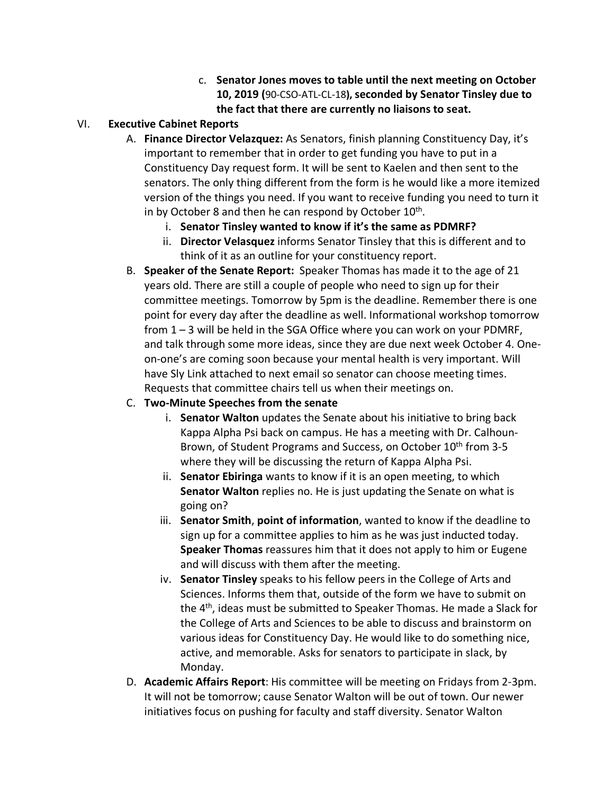c. **Senator Jones moves to table until the next meeting on October 10, 2019 (**90-CSO-ATL-CL-18**), seconded by Senator Tinsley due to the fact that there are currently no liaisons to seat.**

## VI. **Executive Cabinet Reports**

- A. **Finance Director Velazquez:** As Senators, finish planning Constituency Day, it's important to remember that in order to get funding you have to put in a Constituency Day request form. It will be sent to Kaelen and then sent to the senators. The only thing different from the form is he would like a more itemized version of the things you need. If you want to receive funding you need to turn it in by October 8 and then he can respond by October  $10<sup>th</sup>$ .
	- i. **Senator Tinsley wanted to know if it's the same as PDMRF?**
	- ii. **Director Velasquez** informs Senator Tinsley that this is different and to think of it as an outline for your constituency report.
- B. **Speaker of the Senate Report:** Speaker Thomas has made it to the age of 21 years old. There are still a couple of people who need to sign up for their committee meetings. Tomorrow by 5pm is the deadline. Remember there is one point for every day after the deadline as well. Informational workshop tomorrow from 1 – 3 will be held in the SGA Office where you can work on your PDMRF, and talk through some more ideas, since they are due next week October 4. Oneon-one's are coming soon because your mental health is very important. Will have Sly Link attached to next email so senator can choose meeting times. Requests that committee chairs tell us when their meetings on.

## C. **Two-Minute Speeches from the senate**

- i. **Senator Walton** updates the Senate about his initiative to bring back Kappa Alpha Psi back on campus. He has a meeting with Dr. Calhoun-Brown, of Student Programs and Success, on October 10<sup>th</sup> from 3-5 where they will be discussing the return of Kappa Alpha Psi.
- ii. **Senator Ebiringa** wants to know if it is an open meeting, to which **Senator Walton** replies no. He is just updating the Senate on what is going on?
- iii. **Senator Smith**, **point of information**, wanted to know if the deadline to sign up for a committee applies to him as he was just inducted today. **Speaker Thomas** reassures him that it does not apply to him or Eugene and will discuss with them after the meeting.
- iv. **Senator Tinsley** speaks to his fellow peers in the College of Arts and Sciences. Informs them that, outside of the form we have to submit on the 4th, ideas must be submitted to Speaker Thomas. He made a Slack for the College of Arts and Sciences to be able to discuss and brainstorm on various ideas for Constituency Day. He would like to do something nice, active, and memorable. Asks for senators to participate in slack, by Monday.
- D. **Academic Affairs Report**: His committee will be meeting on Fridays from 2-3pm. It will not be tomorrow; cause Senator Walton will be out of town. Our newer initiatives focus on pushing for faculty and staff diversity. Senator Walton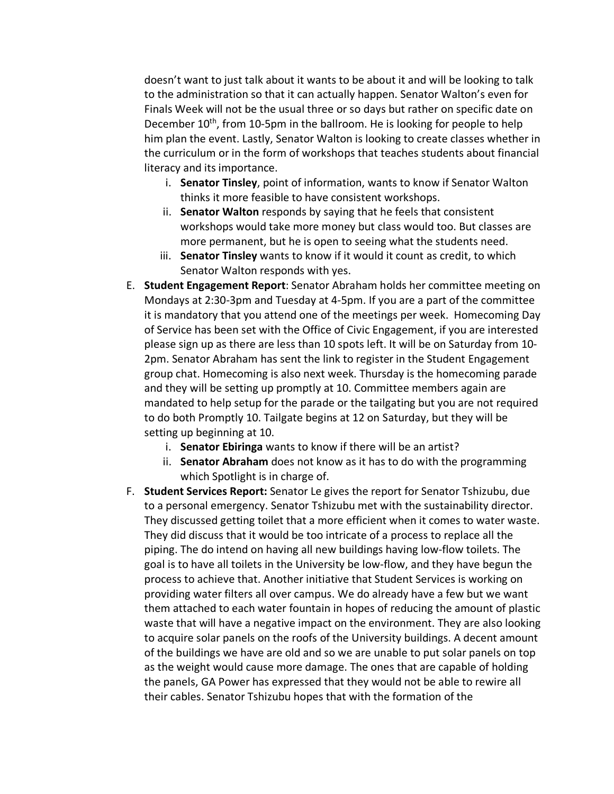doesn't want to just talk about it wants to be about it and will be looking to talk to the administration so that it can actually happen. Senator Walton's even for Finals Week will not be the usual three or so days but rather on specific date on December 10<sup>th</sup>, from 10-5pm in the ballroom. He is looking for people to help him plan the event. Lastly, Senator Walton is looking to create classes whether in the curriculum or in the form of workshops that teaches students about financial literacy and its importance.

- i. **Senator Tinsley**, point of information, wants to know if Senator Walton thinks it more feasible to have consistent workshops.
- ii. **Senator Walton** responds by saying that he feels that consistent workshops would take more money but class would too. But classes are more permanent, but he is open to seeing what the students need.
- iii. **Senator Tinsley** wants to know if it would it count as credit, to which Senator Walton responds with yes.
- E. **Student Engagement Report**: Senator Abraham holds her committee meeting on Mondays at 2:30-3pm and Tuesday at 4-5pm. If you are a part of the committee it is mandatory that you attend one of the meetings per week. Homecoming Day of Service has been set with the Office of Civic Engagement, if you are interested please sign up as there are less than 10 spots left. It will be on Saturday from 10- 2pm. Senator Abraham has sent the link to register in the Student Engagement group chat. Homecoming is also next week. Thursday is the homecoming parade and they will be setting up promptly at 10. Committee members again are mandated to help setup for the parade or the tailgating but you are not required to do both Promptly 10. Tailgate begins at 12 on Saturday, but they will be setting up beginning at 10.
	- i. **Senator Ebiringa** wants to know if there will be an artist?
	- ii. **Senator Abraham** does not know as it has to do with the programming which Spotlight is in charge of.
- F. **Student Services Report:** Senator Le gives the report for Senator Tshizubu, due to a personal emergency. Senator Tshizubu met with the sustainability director. They discussed getting toilet that a more efficient when it comes to water waste. They did discuss that it would be too intricate of a process to replace all the piping. The do intend on having all new buildings having low-flow toilets. The goal is to have all toilets in the University be low-flow, and they have begun the process to achieve that. Another initiative that Student Services is working on providing water filters all over campus. We do already have a few but we want them attached to each water fountain in hopes of reducing the amount of plastic waste that will have a negative impact on the environment. They are also looking to acquire solar panels on the roofs of the University buildings. A decent amount of the buildings we have are old and so we are unable to put solar panels on top as the weight would cause more damage. The ones that are capable of holding the panels, GA Power has expressed that they would not be able to rewire all their cables. Senator Tshizubu hopes that with the formation of the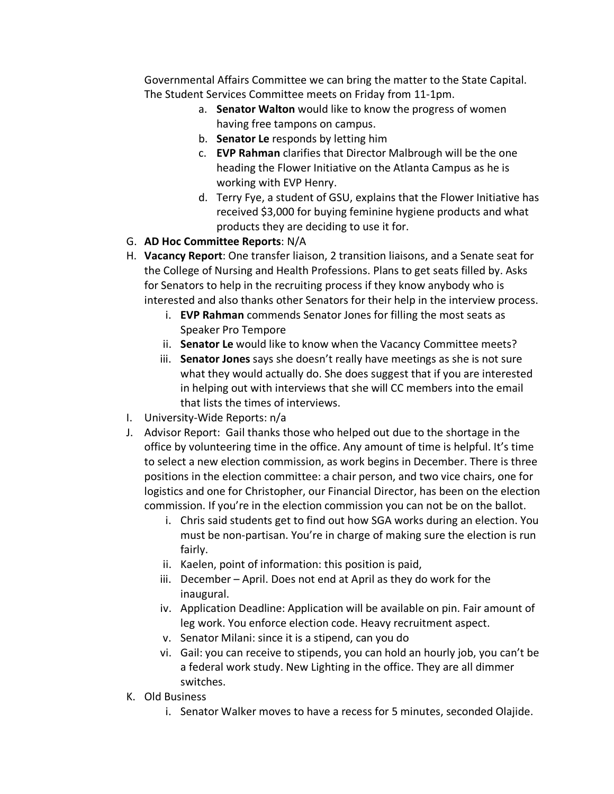Governmental Affairs Committee we can bring the matter to the State Capital. The Student Services Committee meets on Friday from 11-1pm.

- a. **Senator Walton** would like to know the progress of women having free tampons on campus.
- b. **Senator Le** responds by letting him
- c. **EVP Rahman** clarifies that Director Malbrough will be the one heading the Flower Initiative on the Atlanta Campus as he is working with EVP Henry.
- d. Terry Fye, a student of GSU, explains that the Flower Initiative has received \$3,000 for buying feminine hygiene products and what products they are deciding to use it for.
- G. **AD Hoc Committee Reports**: N/A
- H. **Vacancy Report**: One transfer liaison, 2 transition liaisons, and a Senate seat for the College of Nursing and Health Professions. Plans to get seats filled by. Asks for Senators to help in the recruiting process if they know anybody who is interested and also thanks other Senators for their help in the interview process.
	- i. **EVP Rahman** commends Senator Jones for filling the most seats as Speaker Pro Tempore
	- ii. **Senator Le** would like to know when the Vacancy Committee meets?
	- iii. **Senator Jones** says she doesn't really have meetings as she is not sure what they would actually do. She does suggest that if you are interested in helping out with interviews that she will CC members into the email that lists the times of interviews.
- I. University-Wide Reports: n/a
- J. Advisor Report: Gail thanks those who helped out due to the shortage in the office by volunteering time in the office. Any amount of time is helpful. It's time to select a new election commission, as work begins in December. There is three positions in the election committee: a chair person, and two vice chairs, one for logistics and one for Christopher, our Financial Director, has been on the election commission. If you're in the election commission you can not be on the ballot.
	- i. Chris said students get to find out how SGA works during an election. You must be non-partisan. You're in charge of making sure the election is run fairly.
	- ii. Kaelen, point of information: this position is paid,
	- iii. December April. Does not end at April as they do work for the inaugural.
	- iv. Application Deadline: Application will be available on pin. Fair amount of leg work. You enforce election code. Heavy recruitment aspect.
	- v. Senator Milani: since it is a stipend, can you do
	- vi. Gail: you can receive to stipends, you can hold an hourly job, you can't be a federal work study. New Lighting in the office. They are all dimmer switches.
- K. Old Business
	- i. Senator Walker moves to have a recess for 5 minutes, seconded Olajide.